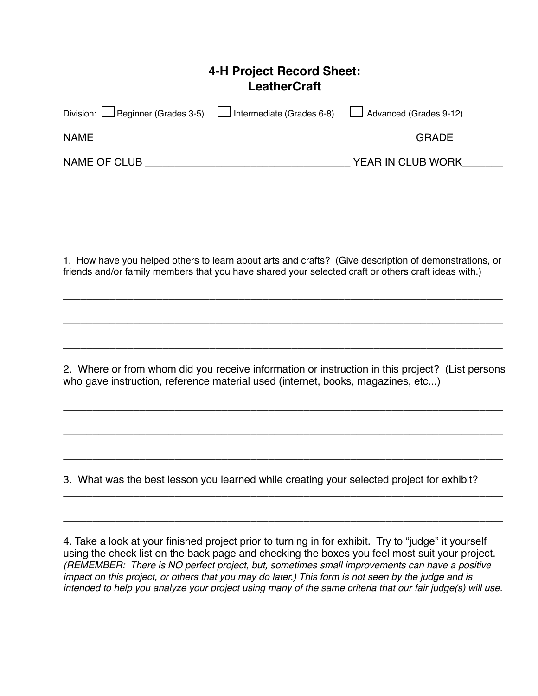## **4-H Project Record Sheet: LeatherCraft**

| Division: Beginner (Grades 3-5) Lotermediate (Grades 6-8) Loteranced (Grades 9-12) |                   |  |
|------------------------------------------------------------------------------------|-------------------|--|
| <b>NAME</b>                                                                        | <b>GRADE</b>      |  |
| NAME OF CLUB                                                                       | YEAR IN CLUB WORK |  |

1. How have you helped others to learn about arts and crafts? (Give description of demonstrations, or friends and/or family members that you have shared your selected craft or others craft ideas with.)

*\_\_\_\_\_\_\_\_\_\_\_\_\_\_\_\_\_\_\_\_\_\_\_\_\_\_\_\_\_\_\_\_\_\_\_\_\_\_\_\_\_\_\_\_\_\_\_\_\_\_\_\_\_\_\_\_\_\_\_\_\_\_\_\_\_\_\_\_\_\_\_\_\_\_\_*

*\_\_\_\_\_\_\_\_\_\_\_\_\_\_\_\_\_\_\_\_\_\_\_\_\_\_\_\_\_\_\_\_\_\_\_\_\_\_\_\_\_\_\_\_\_\_\_\_\_\_\_\_\_\_\_\_\_\_\_\_\_\_\_\_\_\_\_\_\_\_\_\_\_\_\_*

*\_\_\_\_\_\_\_\_\_\_\_\_\_\_\_\_\_\_\_\_\_\_\_\_\_\_\_\_\_\_\_\_\_\_\_\_\_\_\_\_\_\_\_\_\_\_\_\_\_\_\_\_\_\_\_\_\_\_\_\_\_\_\_\_\_\_\_\_\_\_\_\_\_\_\_*

2. Where or from whom did you receive information or instruction in this project? (List persons who gave instruction, reference material used (internet, books, magazines, etc...)

\_\_\_\_\_\_\_\_\_\_\_\_\_\_\_\_\_\_\_\_\_\_\_\_\_\_\_\_\_\_\_\_\_\_\_\_\_\_\_\_\_\_\_\_\_\_\_\_\_\_\_\_\_\_\_\_\_\_\_\_\_\_\_\_\_\_\_\_\_\_\_\_\_\_\_

\_\_\_\_\_\_\_\_\_\_\_\_\_\_\_\_\_\_\_\_\_\_\_\_\_\_\_\_\_\_\_\_\_\_\_\_\_\_\_\_\_\_\_\_\_\_\_\_\_\_\_\_\_\_\_\_\_\_\_\_\_\_\_\_\_\_\_\_\_\_\_\_\_\_\_

\_\_\_\_\_\_\_\_\_\_\_\_\_\_\_\_\_\_\_\_\_\_\_\_\_\_\_\_\_\_\_\_\_\_\_\_\_\_\_\_\_\_\_\_\_\_\_\_\_\_\_\_\_\_\_\_\_\_\_\_\_\_\_\_\_\_\_\_\_\_\_\_\_\_\_

\_\_\_\_\_\_\_\_\_\_\_\_\_\_\_\_\_\_\_\_\_\_\_\_\_\_\_\_\_\_\_\_\_\_\_\_\_\_\_\_\_\_\_\_\_\_\_\_\_\_\_\_\_\_\_\_\_\_\_\_\_\_\_\_\_\_\_\_\_\_\_\_\_\_\_

\_\_\_\_\_\_\_\_\_\_\_\_\_\_\_\_\_\_\_\_\_\_\_\_\_\_\_\_\_\_\_\_\_\_\_\_\_\_\_\_\_\_\_\_\_\_\_\_\_\_\_\_\_\_\_\_\_\_\_\_\_\_\_\_\_\_\_\_\_\_\_\_\_\_\_

3. What was the best lesson you learned while creating your selected project for exhibit?

4. Take a look at your finished project prior to turning in for exhibit. Try to "judge" it yourself using the check list on the back page and checking the boxes you feel most suit your project. *(REMEMBER: There is NO perfect project, but, sometimes small improvements can have a positive impact on this project, or others that you may do later.) This form is not seen by the judge and is intended to help you analyze your project using many of the same criteria that our fair judge(s) will use.*